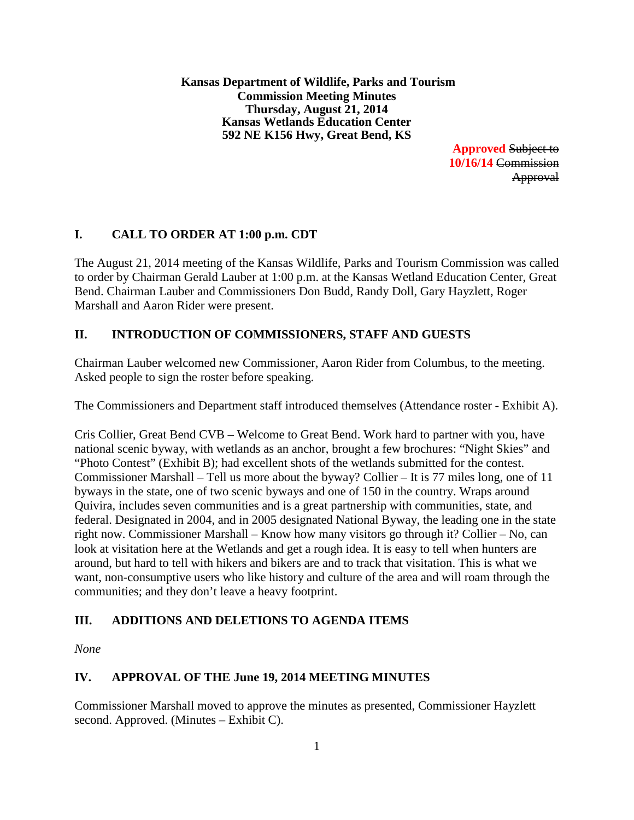**Kansas Department of Wildlife, Parks and Tourism Commission Meeting Minutes Thursday, August 21, 2014 Kansas Wetlands Education Center 592 NE K156 Hwy, Great Bend, KS**

> **Approved** Subject to **10/16/14** Commission Approval

# **I. CALL TO ORDER AT 1:00 p.m. CDT**

The August 21, 2014 meeting of the Kansas Wildlife, Parks and Tourism Commission was called to order by Chairman Gerald Lauber at 1:00 p.m. at the Kansas Wetland Education Center, Great Bend. Chairman Lauber and Commissioners Don Budd, Randy Doll, Gary Hayzlett, Roger Marshall and Aaron Rider were present.

# **II. INTRODUCTION OF COMMISSIONERS, STAFF AND GUESTS**

Chairman Lauber welcomed new Commissioner, Aaron Rider from Columbus, to the meeting. Asked people to sign the roster before speaking.

The Commissioners and Department staff introduced themselves (Attendance roster - Exhibit A).

Cris Collier, Great Bend CVB – Welcome to Great Bend. Work hard to partner with you, have national scenic byway, with wetlands as an anchor, brought a few brochures: "Night Skies" and "Photo Contest" (Exhibit B); had excellent shots of the wetlands submitted for the contest. Commissioner Marshall – Tell us more about the byway? Collier – It is 77 miles long, one of 11 byways in the state, one of two scenic byways and one of 150 in the country. Wraps around Quivira, includes seven communities and is a great partnership with communities, state, and federal. Designated in 2004, and in 2005 designated National Byway, the leading one in the state right now. Commissioner Marshall – Know how many visitors go through it? Collier – No, can look at visitation here at the Wetlands and get a rough idea. It is easy to tell when hunters are around, but hard to tell with hikers and bikers are and to track that visitation. This is what we want, non-consumptive users who like history and culture of the area and will roam through the communities; and they don't leave a heavy footprint.

# **III. ADDITIONS AND DELETIONS TO AGENDA ITEMS**

*None*

# **IV. APPROVAL OF THE June 19, 2014 MEETING MINUTES**

Commissioner Marshall moved to approve the minutes as presented, Commissioner Hayzlett second. Approved. (Minutes – Exhibit C).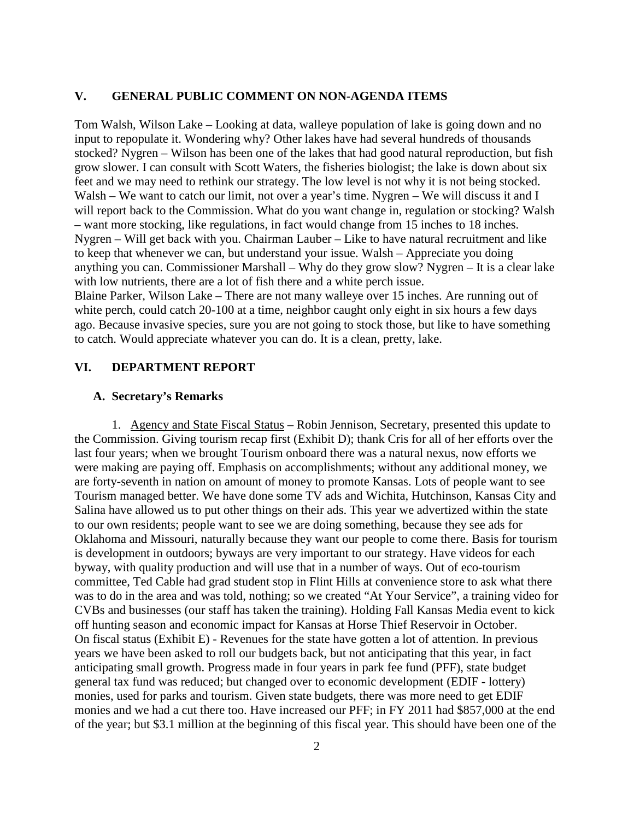#### **V. GENERAL PUBLIC COMMENT ON NON-AGENDA ITEMS**

Tom Walsh, Wilson Lake – Looking at data, walleye population of lake is going down and no input to repopulate it. Wondering why? Other lakes have had several hundreds of thousands stocked? Nygren – Wilson has been one of the lakes that had good natural reproduction, but fish grow slower. I can consult with Scott Waters, the fisheries biologist; the lake is down about six feet and we may need to rethink our strategy. The low level is not why it is not being stocked. Walsh – We want to catch our limit, not over a year's time. Nygren – We will discuss it and I will report back to the Commission. What do you want change in, regulation or stocking? Walsh – want more stocking, like regulations, in fact would change from 15 inches to 18 inches. Nygren – Will get back with you. Chairman Lauber – Like to have natural recruitment and like to keep that whenever we can, but understand your issue. Walsh – Appreciate you doing anything you can. Commissioner Marshall – Why do they grow slow? Nygren – It is a clear lake with low nutrients, there are a lot of fish there and a white perch issue. Blaine Parker, Wilson Lake – There are not many walleye over 15 inches. Are running out of

white perch, could catch 20-100 at a time, neighbor caught only eight in six hours a few days ago. Because invasive species, sure you are not going to stock those, but like to have something to catch. Would appreciate whatever you can do. It is a clean, pretty, lake.

### **VI. DEPARTMENT REPORT**

#### **A. Secretary's Remarks**

1. Agency and State Fiscal Status – Robin Jennison, Secretary, presented this update to the Commission. Giving tourism recap first (Exhibit D); thank Cris for all of her efforts over the last four years; when we brought Tourism onboard there was a natural nexus, now efforts we were making are paying off. Emphasis on accomplishments; without any additional money, we are forty-seventh in nation on amount of money to promote Kansas. Lots of people want to see Tourism managed better. We have done some TV ads and Wichita, Hutchinson, Kansas City and Salina have allowed us to put other things on their ads. This year we advertized within the state to our own residents; people want to see we are doing something, because they see ads for Oklahoma and Missouri, naturally because they want our people to come there. Basis for tourism is development in outdoors; byways are very important to our strategy. Have videos for each byway, with quality production and will use that in a number of ways. Out of eco-tourism committee, Ted Cable had grad student stop in Flint Hills at convenience store to ask what there was to do in the area and was told, nothing; so we created "At Your Service", a training video for CVBs and businesses (our staff has taken the training). Holding Fall Kansas Media event to kick off hunting season and economic impact for Kansas at Horse Thief Reservoir in October. On fiscal status (Exhibit E) - Revenues for the state have gotten a lot of attention. In previous years we have been asked to roll our budgets back, but not anticipating that this year, in fact anticipating small growth. Progress made in four years in park fee fund (PFF), state budget general tax fund was reduced; but changed over to economic development (EDIF - lottery) monies, used for parks and tourism. Given state budgets, there was more need to get EDIF monies and we had a cut there too. Have increased our PFF; in FY 2011 had \$857,000 at the end of the year; but \$3.1 million at the beginning of this fiscal year. This should have been one of the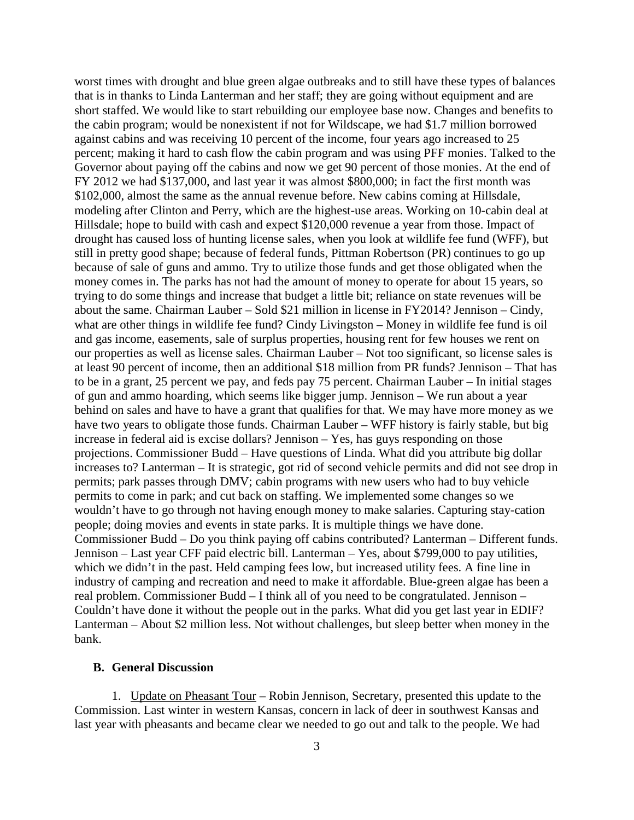worst times with drought and blue green algae outbreaks and to still have these types of balances that is in thanks to Linda Lanterman and her staff; they are going without equipment and are short staffed. We would like to start rebuilding our employee base now. Changes and benefits to the cabin program; would be nonexistent if not for Wildscape, we had \$1.7 million borrowed against cabins and was receiving 10 percent of the income, four years ago increased to 25 percent; making it hard to cash flow the cabin program and was using PFF monies. Talked to the Governor about paying off the cabins and now we get 90 percent of those monies. At the end of FY 2012 we had \$137,000, and last year it was almost \$800,000; in fact the first month was \$102,000, almost the same as the annual revenue before. New cabins coming at Hillsdale, modeling after Clinton and Perry, which are the highest-use areas. Working on 10-cabin deal at Hillsdale; hope to build with cash and expect \$120,000 revenue a year from those. Impact of drought has caused loss of hunting license sales, when you look at wildlife fee fund (WFF), but still in pretty good shape; because of federal funds, Pittman Robertson (PR) continues to go up because of sale of guns and ammo. Try to utilize those funds and get those obligated when the money comes in. The parks has not had the amount of money to operate for about 15 years, so trying to do some things and increase that budget a little bit; reliance on state revenues will be about the same. Chairman Lauber – Sold \$21 million in license in FY2014? Jennison – Cindy, what are other things in wildlife fee fund? Cindy Livingston – Money in wildlife fee fund is oil and gas income, easements, sale of surplus properties, housing rent for few houses we rent on our properties as well as license sales. Chairman Lauber – Not too significant, so license sales is at least 90 percent of income, then an additional \$18 million from PR funds? Jennison – That has to be in a grant, 25 percent we pay, and feds pay 75 percent. Chairman Lauber – In initial stages of gun and ammo hoarding, which seems like bigger jump. Jennison – We run about a year behind on sales and have to have a grant that qualifies for that. We may have more money as we have two years to obligate those funds. Chairman Lauber – WFF history is fairly stable, but big increase in federal aid is excise dollars? Jennison – Yes, has guys responding on those projections. Commissioner Budd – Have questions of Linda. What did you attribute big dollar increases to? Lanterman – It is strategic, got rid of second vehicle permits and did not see drop in permits; park passes through DMV; cabin programs with new users who had to buy vehicle permits to come in park; and cut back on staffing. We implemented some changes so we wouldn't have to go through not having enough money to make salaries. Capturing stay-cation people; doing movies and events in state parks. It is multiple things we have done. Commissioner Budd – Do you think paying off cabins contributed? Lanterman – Different funds. Jennison – Last year CFF paid electric bill. Lanterman – Yes, about \$799,000 to pay utilities, which we didn't in the past. Held camping fees low, but increased utility fees. A fine line in industry of camping and recreation and need to make it affordable. Blue-green algae has been a real problem. Commissioner Budd – I think all of you need to be congratulated. Jennison – Couldn't have done it without the people out in the parks. What did you get last year in EDIF? Lanterman – About \$2 million less. Not without challenges, but sleep better when money in the bank.

### **B. General Discussion**

1. Update on Pheasant Tour – Robin Jennison, Secretary, presented this update to the Commission. Last winter in western Kansas, concern in lack of deer in southwest Kansas and last year with pheasants and became clear we needed to go out and talk to the people. We had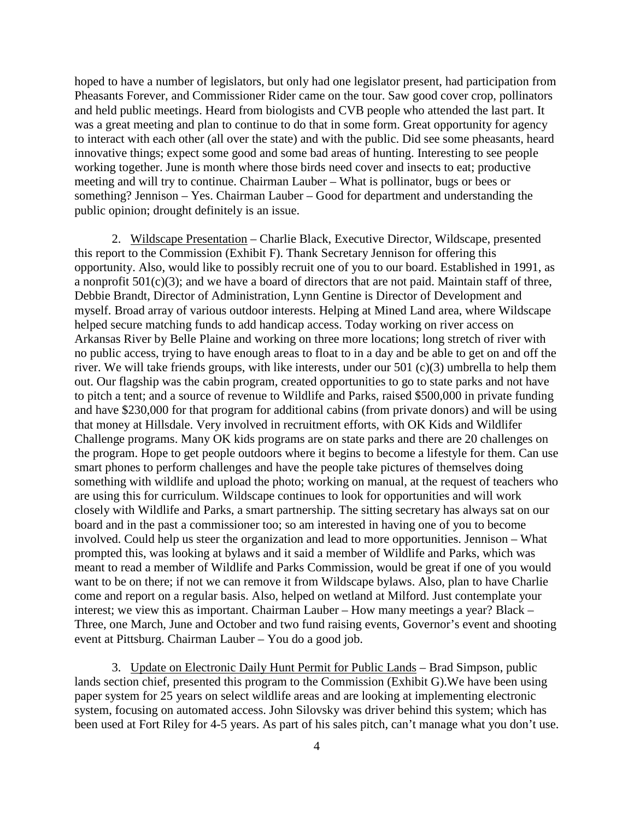hoped to have a number of legislators, but only had one legislator present, had participation from Pheasants Forever, and Commissioner Rider came on the tour. Saw good cover crop, pollinators and held public meetings. Heard from biologists and CVB people who attended the last part. It was a great meeting and plan to continue to do that in some form. Great opportunity for agency to interact with each other (all over the state) and with the public. Did see some pheasants, heard innovative things; expect some good and some bad areas of hunting. Interesting to see people working together. June is month where those birds need cover and insects to eat; productive meeting and will try to continue. Chairman Lauber – What is pollinator, bugs or bees or something? Jennison – Yes. Chairman Lauber – Good for department and understanding the public opinion; drought definitely is an issue.

2. Wildscape Presentation – Charlie Black, Executive Director, Wildscape, presented this report to the Commission (Exhibit F). Thank Secretary Jennison for offering this opportunity. Also, would like to possibly recruit one of you to our board. Established in 1991, as a nonprofit  $501(c)(3)$ ; and we have a board of directors that are not paid. Maintain staff of three, Debbie Brandt, Director of Administration, Lynn Gentine is Director of Development and myself. Broad array of various outdoor interests. Helping at Mined Land area, where Wildscape helped secure matching funds to add handicap access. Today working on river access on Arkansas River by Belle Plaine and working on three more locations; long stretch of river with no public access, trying to have enough areas to float to in a day and be able to get on and off the river. We will take friends groups, with like interests, under our 501 (c)(3) umbrella to help them out. Our flagship was the cabin program, created opportunities to go to state parks and not have to pitch a tent; and a source of revenue to Wildlife and Parks, raised \$500,000 in private funding and have \$230,000 for that program for additional cabins (from private donors) and will be using that money at Hillsdale. Very involved in recruitment efforts, with OK Kids and Wildlifer Challenge programs. Many OK kids programs are on state parks and there are 20 challenges on the program. Hope to get people outdoors where it begins to become a lifestyle for them. Can use smart phones to perform challenges and have the people take pictures of themselves doing something with wildlife and upload the photo; working on manual, at the request of teachers who are using this for curriculum. Wildscape continues to look for opportunities and will work closely with Wildlife and Parks, a smart partnership. The sitting secretary has always sat on our board and in the past a commissioner too; so am interested in having one of you to become involved. Could help us steer the organization and lead to more opportunities. Jennison – What prompted this, was looking at bylaws and it said a member of Wildlife and Parks, which was meant to read a member of Wildlife and Parks Commission, would be great if one of you would want to be on there; if not we can remove it from Wildscape bylaws. Also, plan to have Charlie come and report on a regular basis. Also, helped on wetland at Milford. Just contemplate your interest; we view this as important. Chairman Lauber – How many meetings a year? Black – Three, one March, June and October and two fund raising events, Governor's event and shooting event at Pittsburg. Chairman Lauber – You do a good job.

3. Update on Electronic Daily Hunt Permit for Public Lands – Brad Simpson, public lands section chief, presented this program to the Commission (Exhibit G).We have been using paper system for 25 years on select wildlife areas and are looking at implementing electronic system, focusing on automated access. John Silovsky was driver behind this system; which has been used at Fort Riley for 4-5 years. As part of his sales pitch, can't manage what you don't use.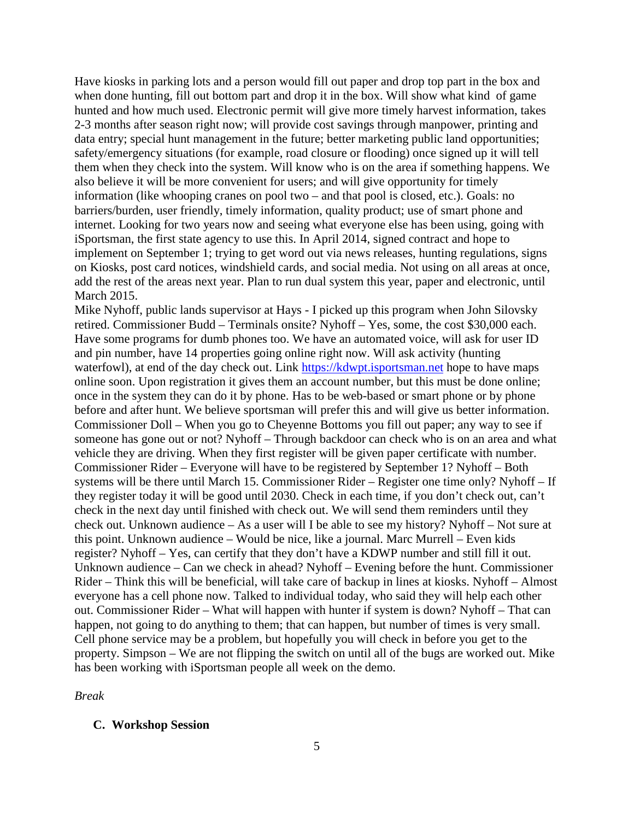Have kiosks in parking lots and a person would fill out paper and drop top part in the box and when done hunting, fill out bottom part and drop it in the box. Will show what kind of game hunted and how much used. Electronic permit will give more timely harvest information, takes 2-3 months after season right now; will provide cost savings through manpower, printing and data entry; special hunt management in the future; better marketing public land opportunities; safety/emergency situations (for example, road closure or flooding) once signed up it will tell them when they check into the system. Will know who is on the area if something happens. We also believe it will be more convenient for users; and will give opportunity for timely information (like whooping cranes on pool two – and that pool is closed, etc.). Goals: no barriers/burden, user friendly, timely information, quality product; use of smart phone and internet. Looking for two years now and seeing what everyone else has been using, going with iSportsman, the first state agency to use this. In April 2014, signed contract and hope to implement on September 1; trying to get word out via news releases, hunting regulations, signs on Kiosks, post card notices, windshield cards, and social media. Not using on all areas at once, add the rest of the areas next year. Plan to run dual system this year, paper and electronic, until March 2015.

Mike Nyhoff, public lands supervisor at Hays - I picked up this program when John Silovsky retired. Commissioner Budd – Terminals onsite? Nyhoff – Yes, some, the cost \$30,000 each. Have some programs for dumb phones too. We have an automated voice, will ask for user ID and pin number, have 14 properties going online right now. Will ask activity (hunting waterfowl), at end of the day check out. Link [https://kdwpt.isportsman.net](https://kdwpt.isportsman.net/) hope to have maps online soon. Upon registration it gives them an account number, but this must be done online; once in the system they can do it by phone. Has to be web-based or smart phone or by phone before and after hunt. We believe sportsman will prefer this and will give us better information. Commissioner Doll – When you go to Cheyenne Bottoms you fill out paper; any way to see if someone has gone out or not? Nyhoff – Through backdoor can check who is on an area and what vehicle they are driving. When they first register will be given paper certificate with number. Commissioner Rider – Everyone will have to be registered by September 1? Nyhoff – Both systems will be there until March 15. Commissioner Rider – Register one time only? Nyhoff – If they register today it will be good until 2030. Check in each time, if you don't check out, can't check in the next day until finished with check out. We will send them reminders until they check out. Unknown audience – As a user will I be able to see my history? Nyhoff – Not sure at this point. Unknown audience – Would be nice, like a journal. Marc Murrell – Even kids register? Nyhoff – Yes, can certify that they don't have a KDWP number and still fill it out. Unknown audience – Can we check in ahead? Nyhoff – Evening before the hunt. Commissioner Rider – Think this will be beneficial, will take care of backup in lines at kiosks. Nyhoff – Almost everyone has a cell phone now. Talked to individual today, who said they will help each other out. Commissioner Rider – What will happen with hunter if system is down? Nyhoff – That can happen, not going to do anything to them; that can happen, but number of times is very small. Cell phone service may be a problem, but hopefully you will check in before you get to the property. Simpson – We are not flipping the switch on until all of the bugs are worked out. Mike has been working with iSportsman people all week on the demo.

#### *Break*

#### **C. Workshop Session**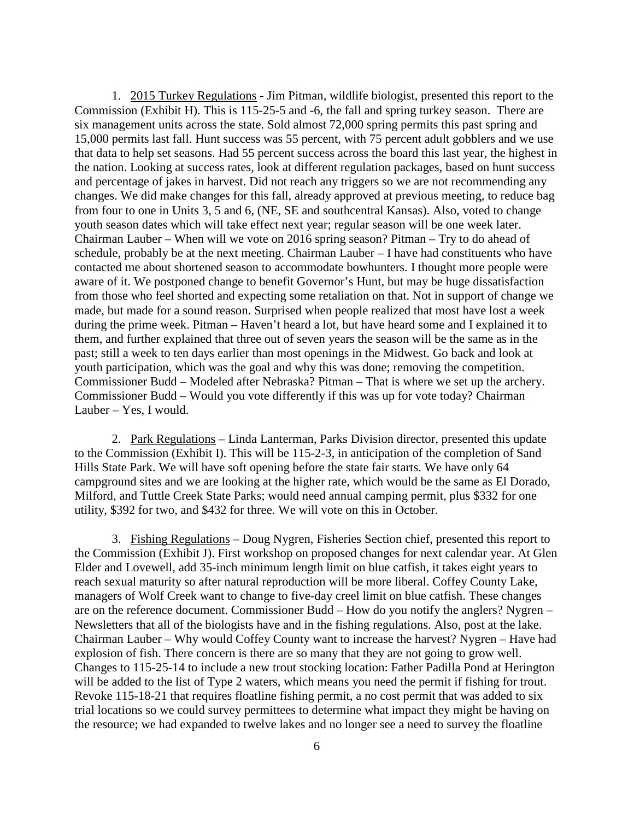1. 2015 Turkey Regulations - Jim Pitman, wildlife biologist, presented this report to the Commission (Exhibit H). This is 115-25-5 and -6, the fall and spring turkey season. There are six management units across the state. Sold almost 72,000 spring permits this past spring and 15,000 permits last fall. Hunt success was 55 percent, with 75 percent adult gobblers and we use that data to help set seasons. Had 55 percent success across the board this last year, the highest in the nation. Looking at success rates, look at different regulation packages, based on hunt success and percentage of jakes in harvest. Did not reach any triggers so we are not recommending any changes. We did make changes for this fall, already approved at previous meeting, to reduce bag from four to one in Units 3, 5 and 6, (NE, SE and southcentral Kansas). Also, voted to change youth season dates which will take effect next year; regular season will be one week later. Chairman Lauber – When will we vote on 2016 spring season? Pitman – Try to do ahead of schedule, probably be at the next meeting. Chairman Lauber – I have had constituents who have contacted me about shortened season to accommodate bowhunters. I thought more people were aware of it. We postponed change to benefit Governor's Hunt, but may be huge dissatisfaction from those who feel shorted and expecting some retaliation on that. Not in support of change we made, but made for a sound reason. Surprised when people realized that most have lost a week during the prime week. Pitman – Haven't heard a lot, but have heard some and I explained it to them, and further explained that three out of seven years the season will be the same as in the past; still a week to ten days earlier than most openings in the Midwest. Go back and look at youth participation, which was the goal and why this was done; removing the competition. Commissioner Budd – Modeled after Nebraska? Pitman – That is where we set up the archery. Commissioner Budd – Would you vote differently if this was up for vote today? Chairman Lauber – Yes, I would.

2. Park Regulations – Linda Lanterman, Parks Division director, presented this update to the Commission (Exhibit I). This will be 115-2-3, in anticipation of the completion of Sand Hills State Park. We will have soft opening before the state fair starts. We have only 64 campground sites and we are looking at the higher rate, which would be the same as El Dorado, Milford, and Tuttle Creek State Parks; would need annual camping permit, plus \$332 for one utility, \$392 for two, and \$432 for three. We will vote on this in October.

3. Fishing Regulations – Doug Nygren, Fisheries Section chief, presented this report to the Commission (Exhibit J). First workshop on proposed changes for next calendar year. At Glen Elder and Lovewell, add 35-inch minimum length limit on blue catfish, it takes eight years to reach sexual maturity so after natural reproduction will be more liberal. Coffey County Lake, managers of Wolf Creek want to change to five-day creel limit on blue catfish. These changes are on the reference document. Commissioner Budd – How do you notify the anglers? Nygren – Newsletters that all of the biologists have and in the fishing regulations. Also, post at the lake. Chairman Lauber – Why would Coffey County want to increase the harvest? Nygren – Have had explosion of fish. There concern is there are so many that they are not going to grow well. Changes to 115-25-14 to include a new trout stocking location: Father Padilla Pond at Herington will be added to the list of Type 2 waters, which means you need the permit if fishing for trout. Revoke 115-18-21 that requires floatline fishing permit, a no cost permit that was added to six trial locations so we could survey permittees to determine what impact they might be having on the resource; we had expanded to twelve lakes and no longer see a need to survey the floatline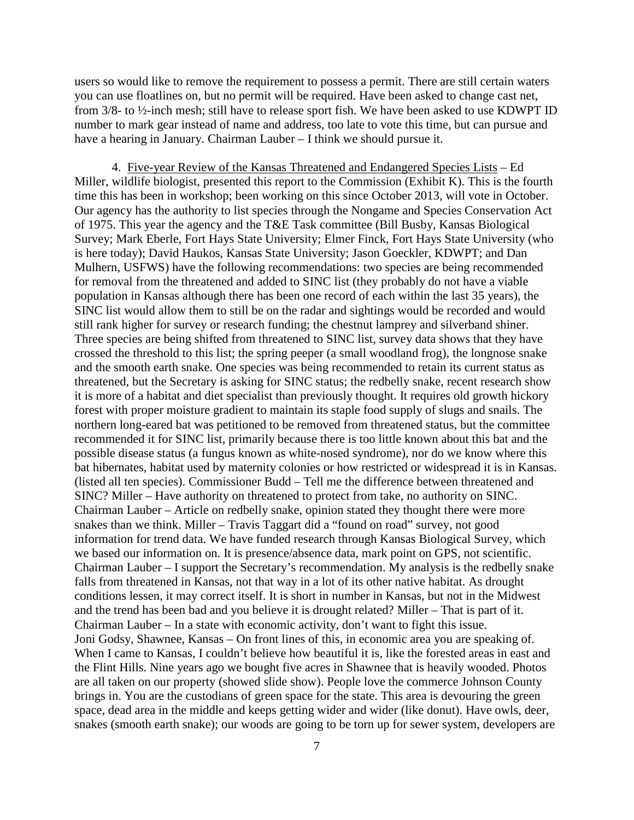users so would like to remove the requirement to possess a permit. There are still certain waters you can use floatlines on, but no permit will be required. Have been asked to change cast net, from 3/8- to ½-inch mesh; still have to release sport fish. We have been asked to use KDWPT ID number to mark gear instead of name and address, too late to vote this time, but can pursue and have a hearing in January. Chairman Lauber – I think we should pursue it.

4. Five-year Review of the Kansas Threatened and Endangered Species Lists – Ed Miller, wildlife biologist, presented this report to the Commission (Exhibit K). This is the fourth time this has been in workshop; been working on this since October 2013, will vote in October. Our agency has the authority to list species through the Nongame and Species Conservation Act of 1975. This year the agency and the T&E Task committee (Bill Busby, Kansas Biological Survey; Mark Eberle, Fort Hays State University; Elmer Finck, Fort Hays State University (who is here today); David Haukos, Kansas State University; Jason Goeckler, KDWPT; and Dan Mulhern, USFWS) have the following recommendations: two species are being recommended for removal from the threatened and added to SINC list (they probably do not have a viable population in Kansas although there has been one record of each within the last 35 years), the SINC list would allow them to still be on the radar and sightings would be recorded and would still rank higher for survey or research funding; the chestnut lamprey and silverband shiner. Three species are being shifted from threatened to SINC list, survey data shows that they have crossed the threshold to this list; the spring peeper (a small woodland frog), the longnose snake and the smooth earth snake. One species was being recommended to retain its current status as threatened, but the Secretary is asking for SINC status; the redbelly snake, recent research show it is more of a habitat and diet specialist than previously thought. It requires old growth hickory forest with proper moisture gradient to maintain its staple food supply of slugs and snails. The northern long-eared bat was petitioned to be removed from threatened status, but the committee recommended it for SINC list, primarily because there is too little known about this bat and the possible disease status (a fungus known as white-nosed syndrome), nor do we know where this bat hibernates, habitat used by maternity colonies or how restricted or widespread it is in Kansas. (listed all ten species). Commissioner Budd – Tell me the difference between threatened and SINC? Miller – Have authority on threatened to protect from take, no authority on SINC. Chairman Lauber – Article on redbelly snake, opinion stated they thought there were more snakes than we think. Miller – Travis Taggart did a "found on road" survey, not good information for trend data. We have funded research through Kansas Biological Survey, which we based our information on. It is presence/absence data, mark point on GPS, not scientific. Chairman Lauber – I support the Secretary's recommendation. My analysis is the redbelly snake falls from threatened in Kansas, not that way in a lot of its other native habitat. As drought conditions lessen, it may correct itself. It is short in number in Kansas, but not in the Midwest and the trend has been bad and you believe it is drought related? Miller – That is part of it. Chairman Lauber – In a state with economic activity, don't want to fight this issue. Joni Godsy, Shawnee, Kansas – On front lines of this, in economic area you are speaking of. When I came to Kansas, I couldn't believe how beautiful it is, like the forested areas in east and the Flint Hills. Nine years ago we bought five acres in Shawnee that is heavily wooded. Photos are all taken on our property (showed slide show). People love the commerce Johnson County brings in. You are the custodians of green space for the state. This area is devouring the green space, dead area in the middle and keeps getting wider and wider (like donut). Have owls, deer, snakes (smooth earth snake); our woods are going to be torn up for sewer system, developers are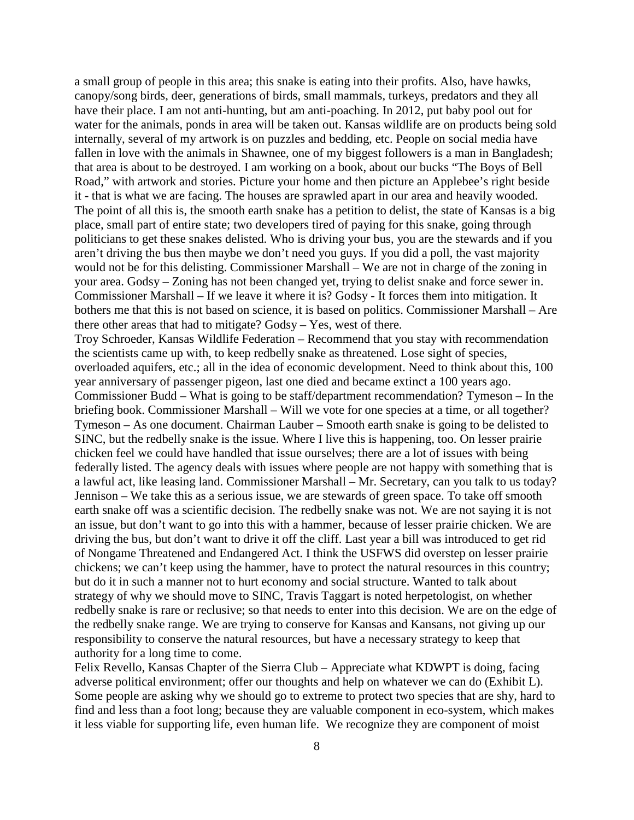a small group of people in this area; this snake is eating into their profits. Also, have hawks, canopy/song birds, deer, generations of birds, small mammals, turkeys, predators and they all have their place. I am not anti-hunting, but am anti-poaching. In 2012, put baby pool out for water for the animals, ponds in area will be taken out. Kansas wildlife are on products being sold internally, several of my artwork is on puzzles and bedding, etc. People on social media have fallen in love with the animals in Shawnee, one of my biggest followers is a man in Bangladesh; that area is about to be destroyed. I am working on a book, about our bucks "The Boys of Bell Road," with artwork and stories. Picture your home and then picture an Applebee's right beside it - that is what we are facing. The houses are sprawled apart in our area and heavily wooded. The point of all this is, the smooth earth snake has a petition to delist, the state of Kansas is a big place, small part of entire state; two developers tired of paying for this snake, going through politicians to get these snakes delisted. Who is driving your bus, you are the stewards and if you aren't driving the bus then maybe we don't need you guys. If you did a poll, the vast majority would not be for this delisting. Commissioner Marshall – We are not in charge of the zoning in your area. Godsy – Zoning has not been changed yet, trying to delist snake and force sewer in. Commissioner Marshall – If we leave it where it is? Godsy - It forces them into mitigation. It bothers me that this is not based on science, it is based on politics. Commissioner Marshall – Are there other areas that had to mitigate? Godsy – Yes, west of there.

Troy Schroeder, Kansas Wildlife Federation – Recommend that you stay with recommendation the scientists came up with, to keep redbelly snake as threatened. Lose sight of species, overloaded aquifers, etc.; all in the idea of economic development. Need to think about this, 100 year anniversary of passenger pigeon, last one died and became extinct a 100 years ago. Commissioner Budd – What is going to be staff/department recommendation? Tymeson – In the briefing book. Commissioner Marshall – Will we vote for one species at a time, or all together? Tymeson – As one document. Chairman Lauber – Smooth earth snake is going to be delisted to SINC, but the redbelly snake is the issue. Where I live this is happening, too. On lesser prairie chicken feel we could have handled that issue ourselves; there are a lot of issues with being federally listed. The agency deals with issues where people are not happy with something that is a lawful act, like leasing land. Commissioner Marshall – Mr. Secretary, can you talk to us today? Jennison – We take this as a serious issue, we are stewards of green space. To take off smooth earth snake off was a scientific decision. The redbelly snake was not. We are not saying it is not an issue, but don't want to go into this with a hammer, because of lesser prairie chicken. We are driving the bus, but don't want to drive it off the cliff. Last year a bill was introduced to get rid of Nongame Threatened and Endangered Act. I think the USFWS did overstep on lesser prairie chickens; we can't keep using the hammer, have to protect the natural resources in this country; but do it in such a manner not to hurt economy and social structure. Wanted to talk about strategy of why we should move to SINC, Travis Taggart is noted herpetologist, on whether redbelly snake is rare or reclusive; so that needs to enter into this decision. We are on the edge of the redbelly snake range. We are trying to conserve for Kansas and Kansans, not giving up our responsibility to conserve the natural resources, but have a necessary strategy to keep that authority for a long time to come.

Felix Revello, Kansas Chapter of the Sierra Club – Appreciate what KDWPT is doing, facing adverse political environment; offer our thoughts and help on whatever we can do (Exhibit L). Some people are asking why we should go to extreme to protect two species that are shy, hard to find and less than a foot long; because they are valuable component in eco-system, which makes it less viable for supporting life, even human life. We recognize they are component of moist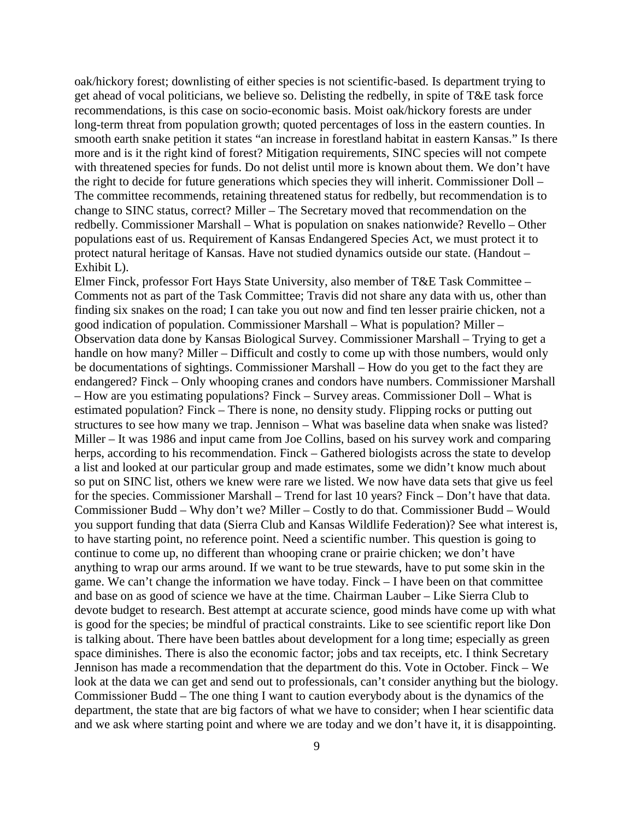oak/hickory forest; downlisting of either species is not scientific-based. Is department trying to get ahead of vocal politicians, we believe so. Delisting the redbelly, in spite of T&E task force recommendations, is this case on socio-economic basis. Moist oak/hickory forests are under long-term threat from population growth; quoted percentages of loss in the eastern counties. In smooth earth snake petition it states "an increase in forestland habitat in eastern Kansas." Is there more and is it the right kind of forest? Mitigation requirements, SINC species will not compete with threatened species for funds. Do not delist until more is known about them. We don't have the right to decide for future generations which species they will inherit. Commissioner Doll – The committee recommends, retaining threatened status for redbelly, but recommendation is to change to SINC status, correct? Miller – The Secretary moved that recommendation on the redbelly. Commissioner Marshall – What is population on snakes nationwide? Revello – Other populations east of us. Requirement of Kansas Endangered Species Act, we must protect it to protect natural heritage of Kansas. Have not studied dynamics outside our state. (Handout – Exhibit L).

Elmer Finck, professor Fort Hays State University, also member of T&E Task Committee – Comments not as part of the Task Committee; Travis did not share any data with us, other than finding six snakes on the road; I can take you out now and find ten lesser prairie chicken, not a good indication of population. Commissioner Marshall – What is population? Miller – Observation data done by Kansas Biological Survey. Commissioner Marshall – Trying to get a handle on how many? Miller – Difficult and costly to come up with those numbers, would only be documentations of sightings. Commissioner Marshall – How do you get to the fact they are endangered? Finck – Only whooping cranes and condors have numbers. Commissioner Marshall – How are you estimating populations? Finck – Survey areas. Commissioner Doll – What is estimated population? Finck – There is none, no density study. Flipping rocks or putting out structures to see how many we trap. Jennison – What was baseline data when snake was listed? Miller – It was 1986 and input came from Joe Collins, based on his survey work and comparing herps, according to his recommendation. Finck – Gathered biologists across the state to develop a list and looked at our particular group and made estimates, some we didn't know much about so put on SINC list, others we knew were rare we listed. We now have data sets that give us feel for the species. Commissioner Marshall – Trend for last 10 years? Finck – Don't have that data. Commissioner Budd – Why don't we? Miller – Costly to do that. Commissioner Budd – Would you support funding that data (Sierra Club and Kansas Wildlife Federation)? See what interest is, to have starting point, no reference point. Need a scientific number. This question is going to continue to come up, no different than whooping crane or prairie chicken; we don't have anything to wrap our arms around. If we want to be true stewards, have to put some skin in the game. We can't change the information we have today. Finck – I have been on that committee and base on as good of science we have at the time. Chairman Lauber – Like Sierra Club to devote budget to research. Best attempt at accurate science, good minds have come up with what is good for the species; be mindful of practical constraints. Like to see scientific report like Don is talking about. There have been battles about development for a long time; especially as green space diminishes. There is also the economic factor; jobs and tax receipts, etc. I think Secretary Jennison has made a recommendation that the department do this. Vote in October. Finck – We look at the data we can get and send out to professionals, can't consider anything but the biology. Commissioner Budd – The one thing I want to caution everybody about is the dynamics of the department, the state that are big factors of what we have to consider; when I hear scientific data and we ask where starting point and where we are today and we don't have it, it is disappointing.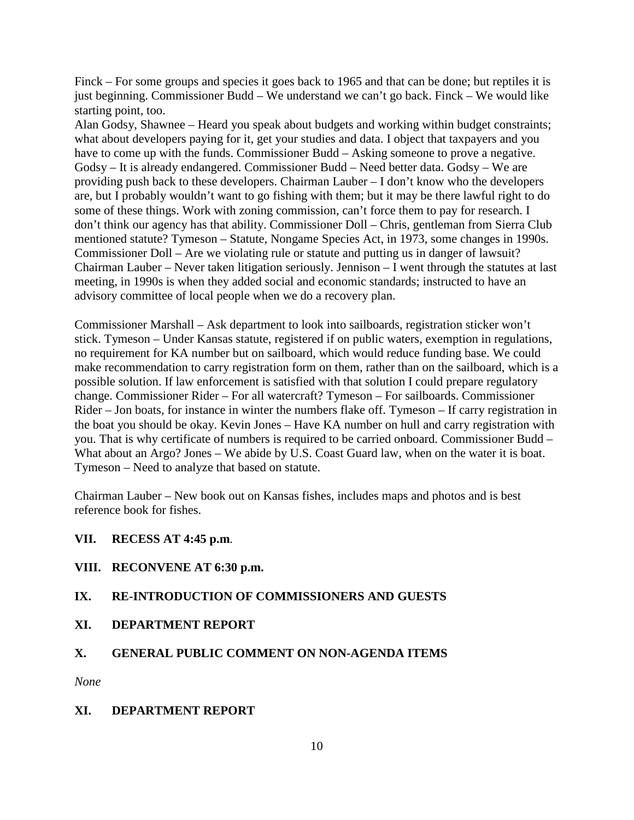Finck – For some groups and species it goes back to 1965 and that can be done; but reptiles it is just beginning. Commissioner Budd – We understand we can't go back. Finck – We would like starting point, too.

Alan Godsy, Shawnee – Heard you speak about budgets and working within budget constraints; what about developers paying for it, get your studies and data. I object that taxpayers and you have to come up with the funds. Commissioner Budd – Asking someone to prove a negative. Godsy – It is already endangered. Commissioner Budd – Need better data. Godsy – We are providing push back to these developers. Chairman Lauber – I don't know who the developers are, but I probably wouldn't want to go fishing with them; but it may be there lawful right to do some of these things. Work with zoning commission, can't force them to pay for research. I don't think our agency has that ability. Commissioner Doll – Chris, gentleman from Sierra Club mentioned statute? Tymeson – Statute, Nongame Species Act, in 1973, some changes in 1990s. Commissioner Doll – Are we violating rule or statute and putting us in danger of lawsuit? Chairman Lauber – Never taken litigation seriously. Jennison – I went through the statutes at last meeting, in 1990s is when they added social and economic standards; instructed to have an advisory committee of local people when we do a recovery plan.

Commissioner Marshall – Ask department to look into sailboards, registration sticker won't stick. Tymeson – Under Kansas statute, registered if on public waters, exemption in regulations, no requirement for KA number but on sailboard, which would reduce funding base. We could make recommendation to carry registration form on them, rather than on the sailboard, which is a possible solution. If law enforcement is satisfied with that solution I could prepare regulatory change. Commissioner Rider – For all watercraft? Tymeson – For sailboards. Commissioner Rider – Jon boats, for instance in winter the numbers flake off. Tymeson – If carry registration in the boat you should be okay. Kevin Jones – Have KA number on hull and carry registration with you. That is why certificate of numbers is required to be carried onboard. Commissioner Budd – What about an Argo? Jones – We abide by U.S. Coast Guard law, when on the water it is boat. Tymeson – Need to analyze that based on statute.

Chairman Lauber – New book out on Kansas fishes, includes maps and photos and is best reference book for fishes.

## **VII. RECESS AT 4:45 p.m**.

## **VIII. RECONVENE AT 6:30 p.m.**

# **IX. RE-INTRODUCTION OF COMMISSIONERS AND GUESTS**

## **XI. DEPARTMENT REPORT**

## **X. GENERAL PUBLIC COMMENT ON NON-AGENDA ITEMS**

*None*

## **XI. DEPARTMENT REPORT**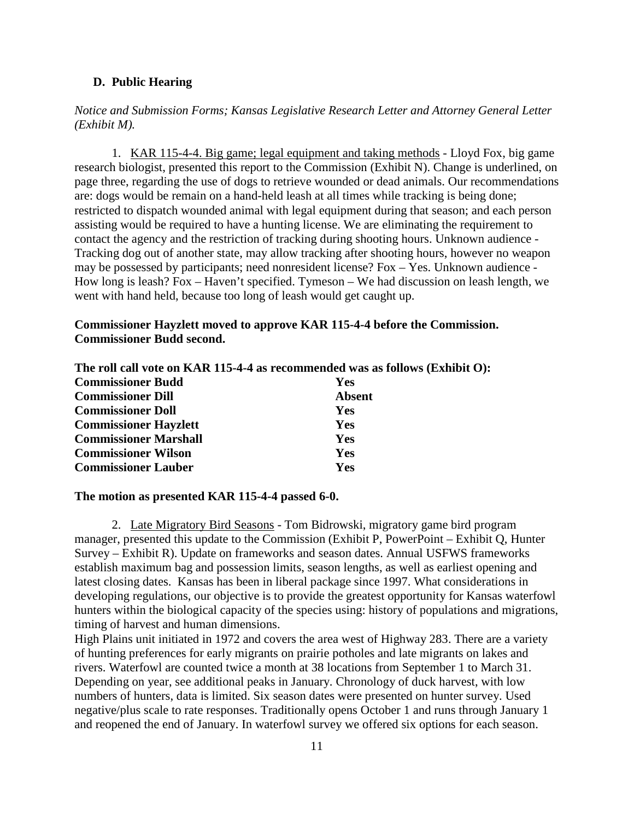#### **D. Public Hearing**

*Notice and Submission Forms; Kansas Legislative Research Letter and Attorney General Letter (Exhibit M).*

1. KAR 115-4-4. Big game; legal equipment and taking methods - Lloyd Fox, big game research biologist, presented this report to the Commission (Exhibit N). Change is underlined, on page three, regarding the use of dogs to retrieve wounded or dead animals. Our recommendations are: dogs would be remain on a hand-held leash at all times while tracking is being done; restricted to dispatch wounded animal with legal equipment during that season; and each person assisting would be required to have a hunting license. We are eliminating the requirement to contact the agency and the restriction of tracking during shooting hours. Unknown audience - Tracking dog out of another state, may allow tracking after shooting hours, however no weapon may be possessed by participants; need nonresident license? Fox – Yes. Unknown audience - How long is leash? Fox – Haven't specified. Tymeson – We had discussion on leash length, we went with hand held, because too long of leash would get caught up.

### **Commissioner Hayzlett moved to approve KAR 115-4-4 before the Commission. Commissioner Budd second.**

|                              | The roll call vote on KAR 115-4-4 as recommended was as follows (Exhibit O): |
|------------------------------|------------------------------------------------------------------------------|
| <b>Commissioner Budd</b>     | <b>Yes</b>                                                                   |
| <b>Commissioner Dill</b>     | <b>Absent</b>                                                                |
| <b>Commissioner Doll</b>     | <b>Yes</b>                                                                   |
| <b>Commissioner Hayzlett</b> | <b>Yes</b>                                                                   |
| <b>Commissioner Marshall</b> | Yes                                                                          |
| <b>Commissioner Wilson</b>   | <b>Yes</b>                                                                   |
| <b>Commissioner Lauber</b>   | Yes                                                                          |

#### **The motion as presented KAR 115-4-4 passed 6-0.**

2. Late Migratory Bird Seasons - Tom Bidrowski, migratory game bird program manager, presented this update to the Commission (Exhibit P, PowerPoint – Exhibit Q, Hunter Survey – Exhibit R). Update on frameworks and season dates. Annual USFWS frameworks establish maximum bag and possession limits, season lengths, as well as earliest opening and latest closing dates. Kansas has been in liberal package since 1997. What considerations in developing regulations, our objective is to provide the greatest opportunity for Kansas waterfowl hunters within the biological capacity of the species using: history of populations and migrations, timing of harvest and human dimensions.

High Plains unit initiated in 1972 and covers the area west of Highway 283. There are a variety of hunting preferences for early migrants on prairie potholes and late migrants on lakes and rivers. Waterfowl are counted twice a month at 38 locations from September 1 to March 31. Depending on year, see additional peaks in January. Chronology of duck harvest, with low numbers of hunters, data is limited. Six season dates were presented on hunter survey. Used negative/plus scale to rate responses. Traditionally opens October 1 and runs through January 1 and reopened the end of January. In waterfowl survey we offered six options for each season.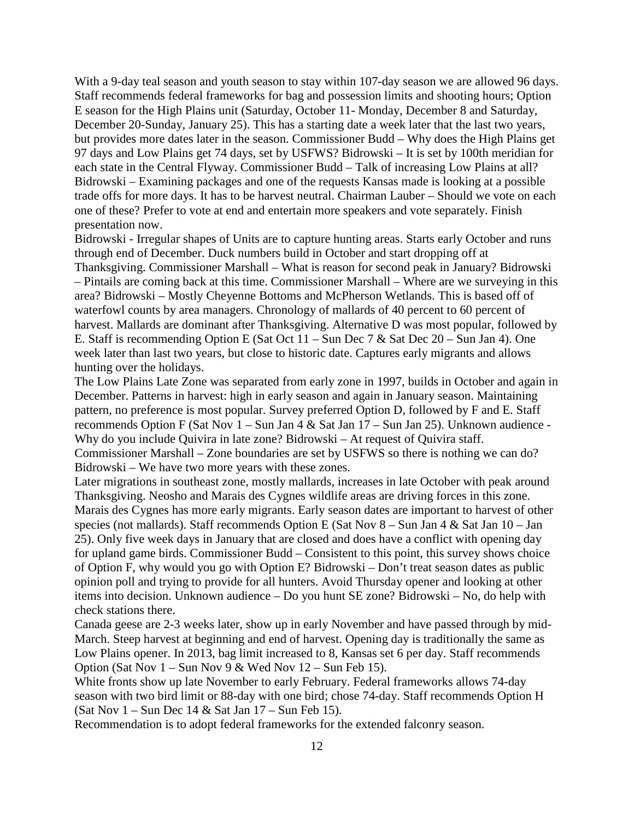With a 9-day teal season and youth season to stay within 107-day season we are allowed 96 days. Staff recommends federal frameworks for bag and possession limits and shooting hours; Option E season for the High Plains unit (Saturday, October 11- Monday, December 8 and Saturday, December 20-Sunday, January 25). This has a starting date a week later that the last two years, but provides more dates later in the season. Commissioner Budd – Why does the High Plains get 97 days and Low Plains get 74 days, set by USFWS? Bidrowski – It is set by 100th meridian for each state in the Central Flyway. Commissioner Budd – Talk of increasing Low Plains at all? Bidrowski – Examining packages and one of the requests Kansas made is looking at a possible trade offs for more days. It has to be harvest neutral. Chairman Lauber – Should we vote on each one of these? Prefer to vote at end and entertain more speakers and vote separately. Finish presentation now.

Bidrowski - Irregular shapes of Units are to capture hunting areas. Starts early October and runs through end of December. Duck numbers build in October and start dropping off at Thanksgiving. Commissioner Marshall – What is reason for second peak in January? Bidrowski – Pintails are coming back at this time. Commissioner Marshall – Where are we surveying in this area? Bidrowski – Mostly Cheyenne Bottoms and McPherson Wetlands. This is based off of waterfowl counts by area managers. Chronology of mallards of 40 percent to 60 percent of harvest. Mallards are dominant after Thanksgiving. Alternative D was most popular, followed by E. Staff is recommending Option E (Sat Oct 11 – Sun Dec 7 & Sat Dec 20 – Sun Jan 4). One week later than last two years, but close to historic date. Captures early migrants and allows hunting over the holidays.

The Low Plains Late Zone was separated from early zone in 1997, builds in October and again in December. Patterns in harvest: high in early season and again in January season. Maintaining pattern, no preference is most popular. Survey preferred Option D, followed by F and E. Staff recommends Option F (Sat Nov 1 – Sun Jan 4 & Sat Jan 17 – Sun Jan 25). Unknown audience - Why do you include Quivira in late zone? Bidrowski – At request of Quivira staff. Commissioner Marshall – Zone boundaries are set by USFWS so there is nothing we can do?

Bidrowski – We have two more years with these zones.

Later migrations in southeast zone, mostly mallards, increases in late October with peak around Thanksgiving. Neosho and Marais des Cygnes wildlife areas are driving forces in this zone. Marais des Cygnes has more early migrants. Early season dates are important to harvest of other species (not mallards). Staff recommends Option E (Sat Nov 8 – Sun Jan 4 & Sat Jan 10 – Jan 25). Only five week days in January that are closed and does have a conflict with opening day for upland game birds. Commissioner Budd – Consistent to this point, this survey shows choice of Option F, why would you go with Option E? Bidrowski – Don't treat season dates as public opinion poll and trying to provide for all hunters. Avoid Thursday opener and looking at other items into decision. Unknown audience – Do you hunt SE zone? Bidrowski – No, do help with check stations there.

Canada geese are 2-3 weeks later, show up in early November and have passed through by mid-March. Steep harvest at beginning and end of harvest. Opening day is traditionally the same as Low Plains opener. In 2013, bag limit increased to 8, Kansas set 6 per day. Staff recommends Option (Sat Nov 1 – Sun Nov 9 & Wed Nov 12 – Sun Feb 15).

White fronts show up late November to early February. Federal frameworks allows 74-day season with two bird limit or 88-day with one bird; chose 74-day. Staff recommends Option H (Sat Nov 1 – Sun Dec 14 & Sat Jan 17 – Sun Feb 15).

Recommendation is to adopt federal frameworks for the extended falconry season.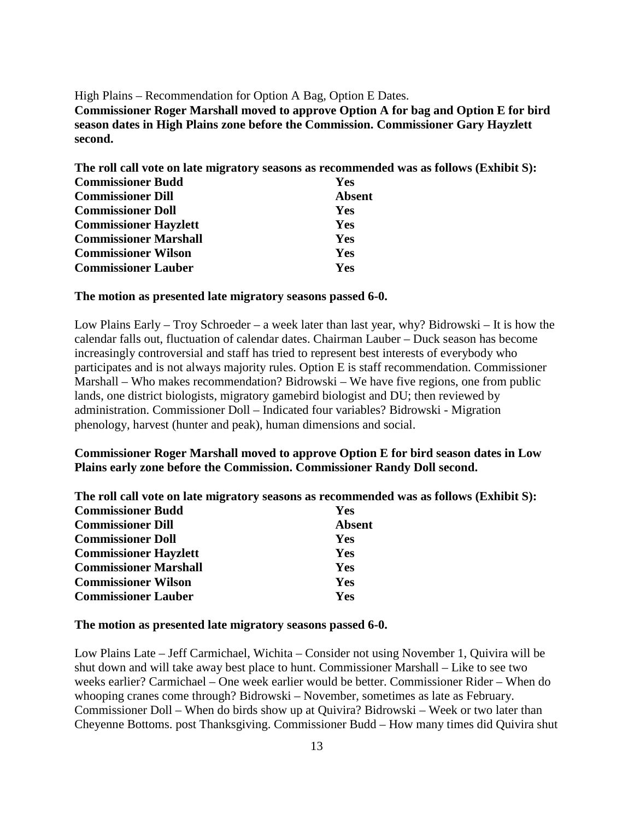High Plains – Recommendation for Option A Bag, Option E Dates. **Commissioner Roger Marshall moved to approve Option A for bag and Option E for bird season dates in High Plains zone before the Commission. Commissioner Gary Hayzlett second.**

| The roll call vote on late migratory seasons as recommended was as follows (Exhibit S): |               |
|-----------------------------------------------------------------------------------------|---------------|
| <b>Commissioner Budd</b>                                                                | <b>Yes</b>    |
| <b>Commissioner Dill</b>                                                                | <b>Absent</b> |
| <b>Commissioner Doll</b>                                                                | <b>Yes</b>    |
| <b>Commissioner Hayzlett</b>                                                            | <b>Yes</b>    |
| <b>Commissioner Marshall</b>                                                            | Yes           |
| <b>Commissioner Wilson</b>                                                              | Yes           |
| <b>Commissioner Lauber</b>                                                              | <b>Yes</b>    |

#### **The motion as presented late migratory seasons passed 6-0.**

Low Plains Early – Troy Schroeder – a week later than last year, why? Bidrowski – It is how the calendar falls out, fluctuation of calendar dates. Chairman Lauber – Duck season has become increasingly controversial and staff has tried to represent best interests of everybody who participates and is not always majority rules. Option E is staff recommendation. Commissioner Marshall – Who makes recommendation? Bidrowski – We have five regions, one from public lands, one district biologists, migratory gamebird biologist and DU; then reviewed by administration. Commissioner Doll – Indicated four variables? Bidrowski - Migration phenology, harvest (hunter and peak), human dimensions and social.

### **Commissioner Roger Marshall moved to approve Option E for bird season dates in Low Plains early zone before the Commission. Commissioner Randy Doll second.**

| The roll call vote on late migratory seasons as recommended was as follows (Exhibit S): |            |  |
|-----------------------------------------------------------------------------------------|------------|--|
| <b>Commissioner Budd</b>                                                                | <b>Yes</b> |  |
| <b>Commissioner Dill</b>                                                                | Absent     |  |
| <b>Commissioner Doll</b>                                                                | <b>Yes</b> |  |
| <b>Commissioner Hayzlett</b>                                                            | <b>Yes</b> |  |
| <b>Commissioner Marshall</b>                                                            | <b>Yes</b> |  |
| <b>Commissioner Wilson</b>                                                              | <b>Yes</b> |  |
| <b>Commissioner Lauber</b>                                                              | <b>Yes</b> |  |

#### **The motion as presented late migratory seasons passed 6-0.**

Low Plains Late – Jeff Carmichael, Wichita – Consider not using November 1, Quivira will be shut down and will take away best place to hunt. Commissioner Marshall – Like to see two weeks earlier? Carmichael – One week earlier would be better. Commissioner Rider – When do whooping cranes come through? Bidrowski – November, sometimes as late as February. Commissioner Doll – When do birds show up at Quivira? Bidrowski – Week or two later than Cheyenne Bottoms. post Thanksgiving. Commissioner Budd – How many times did Quivira shut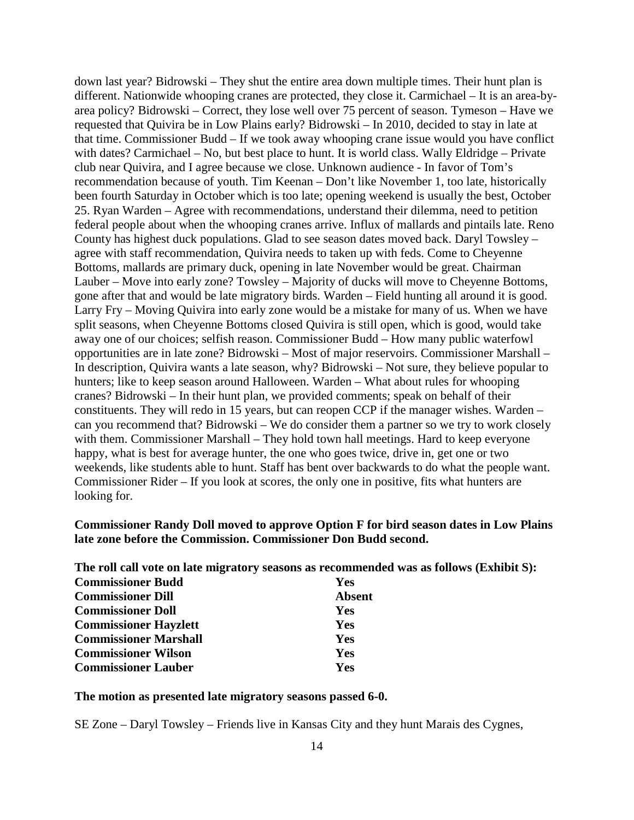down last year? Bidrowski – They shut the entire area down multiple times. Their hunt plan is different. Nationwide whooping cranes are protected, they close it. Carmichael – It is an area-byarea policy? Bidrowski – Correct, they lose well over 75 percent of season. Tymeson – Have we requested that Quivira be in Low Plains early? Bidrowski – In 2010, decided to stay in late at that time. Commissioner Budd – If we took away whooping crane issue would you have conflict with dates? Carmichael – No, but best place to hunt. It is world class. Wally Eldridge – Private club near Quivira, and I agree because we close. Unknown audience - In favor of Tom's recommendation because of youth. Tim Keenan – Don't like November 1, too late, historically been fourth Saturday in October which is too late; opening weekend is usually the best, October 25. Ryan Warden – Agree with recommendations, understand their dilemma, need to petition federal people about when the whooping cranes arrive. Influx of mallards and pintails late. Reno County has highest duck populations. Glad to see season dates moved back. Daryl Towsley – agree with staff recommendation, Quivira needs to taken up with feds. Come to Cheyenne Bottoms, mallards are primary duck, opening in late November would be great. Chairman Lauber – Move into early zone? Towsley – Majority of ducks will move to Cheyenne Bottoms, gone after that and would be late migratory birds. Warden – Field hunting all around it is good. Larry Fry – Moving Quivira into early zone would be a mistake for many of us. When we have split seasons, when Cheyenne Bottoms closed Quivira is still open, which is good, would take away one of our choices; selfish reason. Commissioner Budd – How many public waterfowl opportunities are in late zone? Bidrowski – Most of major reservoirs. Commissioner Marshall – In description, Quivira wants a late season, why? Bidrowski – Not sure, they believe popular to hunters; like to keep season around Halloween. Warden – What about rules for whooping cranes? Bidrowski – In their hunt plan, we provided comments; speak on behalf of their constituents. They will redo in 15 years, but can reopen CCP if the manager wishes. Warden – can you recommend that? Bidrowski – We do consider them a partner so we try to work closely with them. Commissioner Marshall – They hold town hall meetings. Hard to keep everyone happy, what is best for average hunter, the one who goes twice, drive in, get one or two weekends, like students able to hunt. Staff has bent over backwards to do what the people want. Commissioner Rider – If you look at scores, the only one in positive, fits what hunters are looking for.

### **Commissioner Randy Doll moved to approve Option F for bird season dates in Low Plains late zone before the Commission. Commissioner Don Budd second.**

**The roll call vote on late migratory seasons as recommended was as follows (Exhibit S):**

| <b>Commissioner Budd</b>     | Yes           |
|------------------------------|---------------|
| <b>Commissioner Dill</b>     | <b>Absent</b> |
| <b>Commissioner Doll</b>     | <b>Yes</b>    |
| <b>Commissioner Hayzlett</b> | <b>Yes</b>    |
| <b>Commissioner Marshall</b> | Yes           |
| <b>Commissioner Wilson</b>   | Yes           |
| <b>Commissioner Lauber</b>   | Yes           |

#### **The motion as presented late migratory seasons passed 6-0.**

SE Zone – Daryl Towsley – Friends live in Kansas City and they hunt Marais des Cygnes,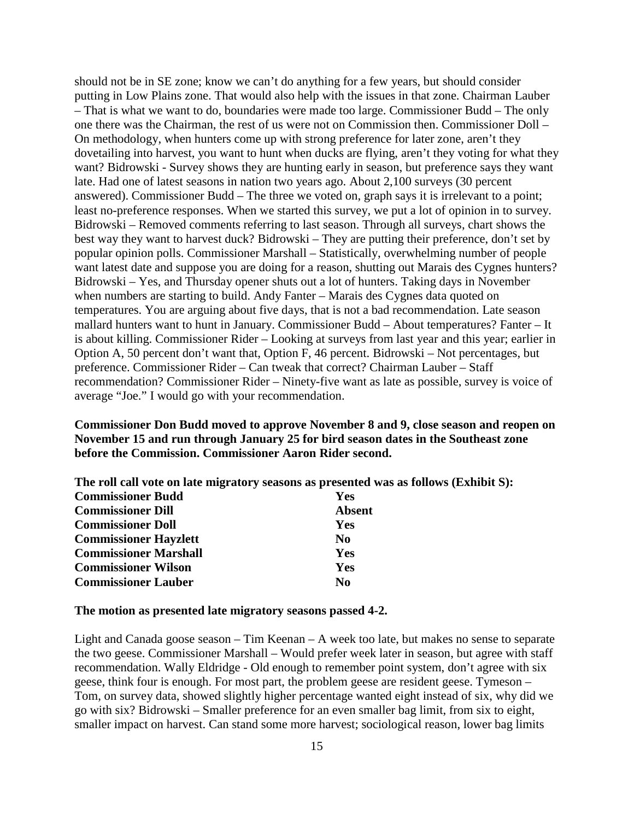should not be in SE zone; know we can't do anything for a few years, but should consider putting in Low Plains zone. That would also help with the issues in that zone. Chairman Lauber – That is what we want to do, boundaries were made too large. Commissioner Budd – The only one there was the Chairman, the rest of us were not on Commission then. Commissioner Doll – On methodology, when hunters come up with strong preference for later zone, aren't they dovetailing into harvest, you want to hunt when ducks are flying, aren't they voting for what they want? Bidrowski - Survey shows they are hunting early in season, but preference says they want late. Had one of latest seasons in nation two years ago. About 2,100 surveys (30 percent answered). Commissioner Budd – The three we voted on, graph says it is irrelevant to a point; least no-preference responses. When we started this survey, we put a lot of opinion in to survey. Bidrowski – Removed comments referring to last season. Through all surveys, chart shows the best way they want to harvest duck? Bidrowski – They are putting their preference, don't set by popular opinion polls. Commissioner Marshall – Statistically, overwhelming number of people want latest date and suppose you are doing for a reason, shutting out Marais des Cygnes hunters? Bidrowski – Yes, and Thursday opener shuts out a lot of hunters. Taking days in November when numbers are starting to build. Andy Fanter – Marais des Cygnes data quoted on temperatures. You are arguing about five days, that is not a bad recommendation. Late season mallard hunters want to hunt in January. Commissioner Budd – About temperatures? Fanter – It is about killing. Commissioner Rider – Looking at surveys from last year and this year; earlier in Option A, 50 percent don't want that, Option F, 46 percent. Bidrowski – Not percentages, but preference. Commissioner Rider – Can tweak that correct? Chairman Lauber – Staff recommendation? Commissioner Rider – Ninety-five want as late as possible, survey is voice of average "Joe." I would go with your recommendation.

**Commissioner Don Budd moved to approve November 8 and 9, close season and reopen on November 15 and run through January 25 for bird season dates in the Southeast zone before the Commission. Commissioner Aaron Rider second.**

|                              | The roll call vote on late migratory seasons as presented was as follows (Exhibit S): |
|------------------------------|---------------------------------------------------------------------------------------|
| <b>Commissioner Budd</b>     | Yes                                                                                   |
| <b>Commissioner Dill</b>     | <b>Absent</b>                                                                         |
| <b>Commissioner Doll</b>     | Yes                                                                                   |
| <b>Commissioner Hayzlett</b> | N <sub>0</sub>                                                                        |
| <b>Commissioner Marshall</b> | <b>Yes</b>                                                                            |
| <b>Commissioner Wilson</b>   | Yes                                                                                   |
| <b>Commissioner Lauber</b>   | No                                                                                    |

#### **The motion as presented late migratory seasons passed 4-2.**

Light and Canada goose season – Tim Keenan – A week too late, but makes no sense to separate the two geese. Commissioner Marshall – Would prefer week later in season, but agree with staff recommendation. Wally Eldridge - Old enough to remember point system, don't agree with six geese, think four is enough. For most part, the problem geese are resident geese. Tymeson – Tom, on survey data, showed slightly higher percentage wanted eight instead of six, why did we go with six? Bidrowski – Smaller preference for an even smaller bag limit, from six to eight, smaller impact on harvest. Can stand some more harvest; sociological reason, lower bag limits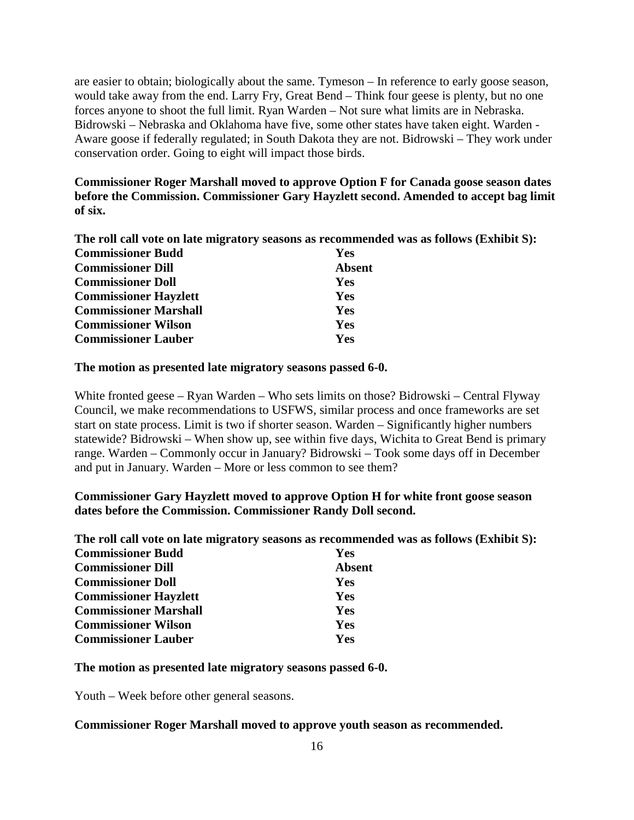are easier to obtain; biologically about the same. Tymeson – In reference to early goose season, would take away from the end. Larry Fry, Great Bend – Think four geese is plenty, but no one forces anyone to shoot the full limit. Ryan Warden – Not sure what limits are in Nebraska. Bidrowski – Nebraska and Oklahoma have five, some other states have taken eight. Warden - Aware goose if federally regulated; in South Dakota they are not. Bidrowski – They work under conservation order. Going to eight will impact those birds.

**Commissioner Roger Marshall moved to approve Option F for Canada goose season dates before the Commission. Commissioner Gary Hayzlett second. Amended to accept bag limit of six.**

**The roll call vote on late migratory seasons as recommended was as follows (Exhibit S):**

| <b>Commissioner Budd</b>     | <b>Yes</b>    |
|------------------------------|---------------|
| <b>Commissioner Dill</b>     | <b>Absent</b> |
| <b>Commissioner Doll</b>     | <b>Yes</b>    |
| <b>Commissioner Hayzlett</b> | Yes           |
| <b>Commissioner Marshall</b> | Yes           |
| <b>Commissioner Wilson</b>   | Yes           |
| <b>Commissioner Lauber</b>   | Yes           |

#### **The motion as presented late migratory seasons passed 6-0.**

White fronted geese – Ryan Warden – Who sets limits on those? Bidrowski – Central Flyway Council, we make recommendations to USFWS, similar process and once frameworks are set start on state process. Limit is two if shorter season. Warden – Significantly higher numbers statewide? Bidrowski – When show up, see within five days, Wichita to Great Bend is primary range. Warden – Commonly occur in January? Bidrowski – Took some days off in December and put in January. Warden – More or less common to see them?

## **Commissioner Gary Hayzlett moved to approve Option H for white front goose season dates before the Commission. Commissioner Randy Doll second.**

**The roll call vote on late migratory seasons as recommended was as follows (Exhibit S):**

| <b>Commissioner Budd</b>     | Yes           |
|------------------------------|---------------|
| <b>Commissioner Dill</b>     | <b>Absent</b> |
| <b>Commissioner Doll</b>     | <b>Yes</b>    |
| <b>Commissioner Hayzlett</b> | <b>Yes</b>    |
| <b>Commissioner Marshall</b> | <b>Yes</b>    |
| <b>Commissioner Wilson</b>   | <b>Yes</b>    |
| <b>Commissioner Lauber</b>   | <b>Yes</b>    |

### **The motion as presented late migratory seasons passed 6-0.**

Youth – Week before other general seasons.

#### **Commissioner Roger Marshall moved to approve youth season as recommended.**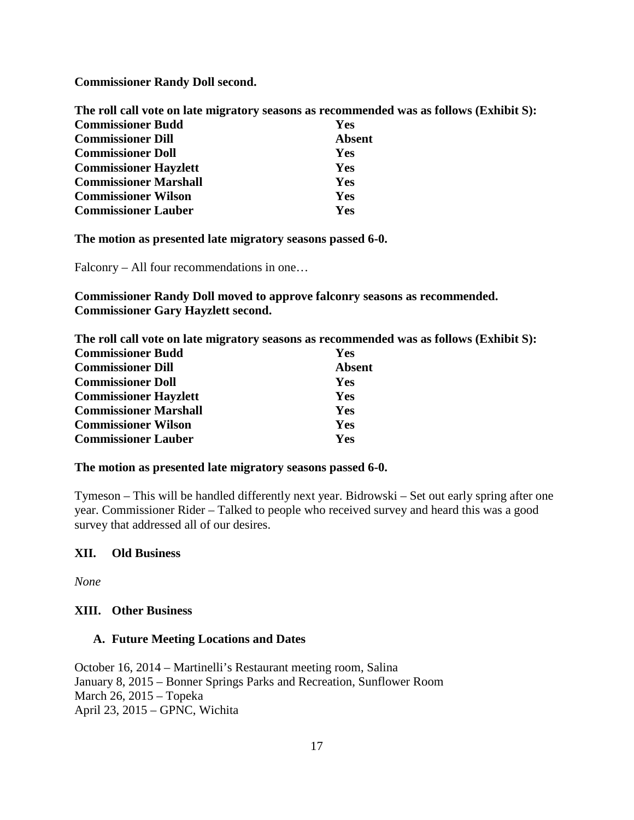**Commissioner Randy Doll second.**

**The roll call vote on late migratory seasons as recommended was as follows (Exhibit S): Commissioner Budd Yes Commissioner Dill Absent Commissioner Doll Yes Commissioner Hayzlett Yes Commissioner Marshall Yes Commissioner Wilson Yes Commissioner Lauber Yes**

**The motion as presented late migratory seasons passed 6-0.**

Falconry – All four recommendations in one…

**Commissioner Randy Doll moved to approve falconry seasons as recommended. Commissioner Gary Hayzlett second.**

**The roll call vote on late migratory seasons as recommended was as follows (Exhibit S): Commissioner Budd Yes Commissioner Dill Absent Commissioner Doll Yes Commissioner Hayzlett Yes Commissioner Marshall Yes Commissioner Wilson Yes Commissioner Lauber Yes**

#### **The motion as presented late migratory seasons passed 6-0.**

Tymeson – This will be handled differently next year. Bidrowski – Set out early spring after one year. Commissioner Rider – Talked to people who received survey and heard this was a good survey that addressed all of our desires.

### **XII. Old Business**

*None*

### **XIII. Other Business**

### **A. Future Meeting Locations and Dates**

October 16, 2014 – Martinelli's Restaurant meeting room, Salina January 8, 2015 – Bonner Springs Parks and Recreation, Sunflower Room March 26, 2015 – Topeka April 23, 2015 – GPNC, Wichita